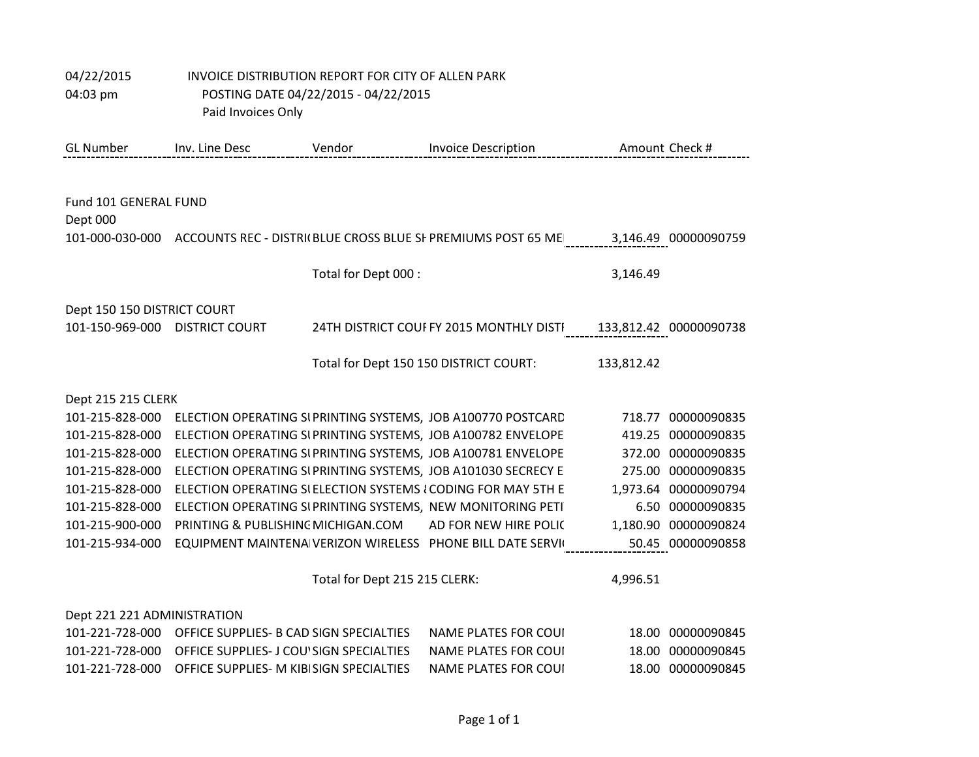| <b>GL Number</b>               | Inv. Line Desc                                          | Vendor                        | <b>Invoice Description</b>                                                                        |            | Amount Check #         |
|--------------------------------|---------------------------------------------------------|-------------------------------|---------------------------------------------------------------------------------------------------|------------|------------------------|
|                                |                                                         |                               |                                                                                                   |            |                        |
| Fund 101 GENERAL FUND          |                                                         |                               |                                                                                                   |            |                        |
| Dept 000                       |                                                         |                               |                                                                                                   |            |                        |
|                                |                                                         |                               | 101-000-030-000 ACCOUNTS REC - DISTRI(BLUE CROSS BLUE SI PREMIUMS POST 65 ME 3,146.49 00000090759 |            |                        |
|                                |                                                         |                               |                                                                                                   |            |                        |
|                                |                                                         | Total for Dept 000 :          |                                                                                                   | 3,146.49   |                        |
|                                |                                                         |                               |                                                                                                   |            |                        |
| Dept 150 150 DISTRICT COURT    |                                                         |                               |                                                                                                   |            |                        |
| 101-150-969-000 DISTRICT COURT |                                                         |                               | 24TH DISTRICT COUFFY 2015 MONTHLY DISTI                                                           |            | 133,812.42 00000090738 |
|                                |                                                         |                               |                                                                                                   |            |                        |
|                                |                                                         |                               | Total for Dept 150 150 DISTRICT COURT:                                                            | 133,812.42 |                        |
| Dept 215 215 CLERK             |                                                         |                               |                                                                                                   |            |                        |
| 101-215-828-000                |                                                         |                               | ELECTION OPERATING SIPRINTING SYSTEMS, JOB A100770 POSTCARD                                       | 718.77     | 00000090835            |
| 101-215-828-000                |                                                         |                               | ELECTION OPERATING SI PRINTING SYSTEMS, JOB A100782 ENVELOPE                                      |            | 419.25 00000090835     |
| 101-215-828-000                |                                                         |                               | ELECTION OPERATING SI PRINTING SYSTEMS, JOB A100781 ENVELOPE                                      |            | 372.00 00000090835     |
| 101-215-828-000                |                                                         |                               | ELECTION OPERATING SIPRINTING SYSTEMS, JOB A101030 SECRECY E                                      |            | 275.00 00000090835     |
| 101-215-828-000                |                                                         |                               | ELECTION OPERATING SI ELECTION SYSTEMS { CODING FOR MAY 5TH E                                     |            | 1,973.64 00000090794   |
| 101-215-828-000                |                                                         |                               | ELECTION OPERATING SIPRINTING SYSTEMS, NEW MONITORING PETI                                        |            | 6.50 00000090835       |
| 101-215-900-000                | PRINTING & PUBLISHING MICHIGAN.COM                      |                               | AD FOR NEW HIRE POLIC                                                                             |            | 1,180.90 00000090824   |
| 101-215-934-000                |                                                         |                               | EQUIPMENT MAINTENA VERIZON WIRELESS PHONE BILL DATE SERVIC                                        |            | 50.45 00000090858      |
|                                |                                                         |                               |                                                                                                   |            |                        |
|                                |                                                         | Total for Dept 215 215 CLERK: |                                                                                                   | 4,996.51   |                        |
| Dept 221 221 ADMINISTRATION    |                                                         |                               |                                                                                                   |            |                        |
|                                | 101-221-728-000 OFFICE SUPPLIES- B CAD SIGN SPECIALTIES |                               | <b>NAME PLATES FOR COUL</b>                                                                       |            | 18.00 00000090845      |
| 101-221-728-000                | OFFICE SUPPLIES- J COU'SIGN SPECIALTIES                 |                               | <b>NAME PLATES FOR COUL</b>                                                                       | 18.00      | 00000090845            |
| 101-221-728-000                | OFFICE SUPPLIES- M KIBISIGN SPECIALTIES                 |                               | <b>NAME PLATES FOR COUI</b>                                                                       |            | 18.00 00000090845      |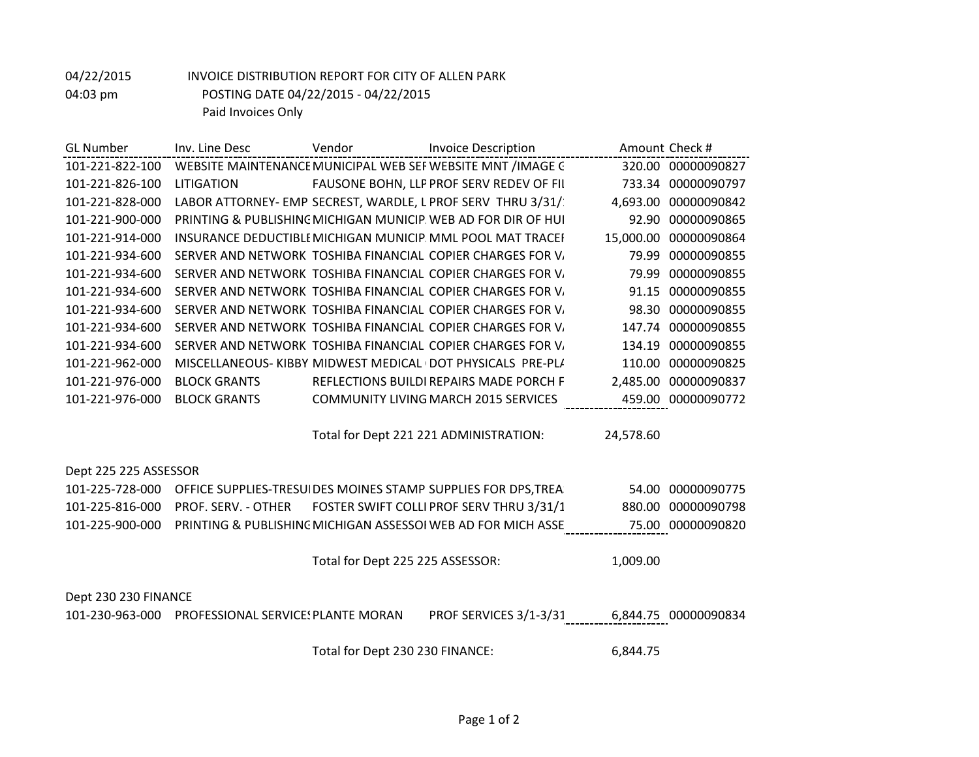| <b>GL</b> Number      | Inv. Line Desc      | Vendor | <b>Invoice Description</b>                                    |           | Amount Check #            |
|-----------------------|---------------------|--------|---------------------------------------------------------------|-----------|---------------------------|
| 101-221-822-100       |                     |        | WEBSITE MAINTENANCE MUNICIPAL WEB SEF WEBSITE MNT /IMAGE C    |           | 320.00 00000090827        |
| 101-221-826-100       | <b>LITIGATION</b>   |        | FAUSONE BOHN, LLP PROF SERV REDEV OF FII                      |           | 733.34 00000090797        |
| 101-221-828-000       |                     |        | LABOR ATTORNEY- EMP SECREST, WARDLE, L PROF SERV THRU 3/31/   | 4,693.00  | 00000090842               |
| 101-221-900-000       |                     |        | PRINTING & PUBLISHING MICHIGAN MUNICIP WEB AD FOR DIR OF HUL  | 92.90     | 00000090865               |
| 101-221-914-000       |                     |        | INSURANCE DEDUCTIBLI MICHIGAN MUNICIP MML POOL MAT TRACEI     | 15,000.00 | 00000090864               |
| 101-221-934-600       |                     |        | SERVER AND NETWORK TOSHIBA FINANCIAL COPIER CHARGES FOR V.    | 79.99     | 00000090855               |
| 101-221-934-600       |                     |        | SERVER AND NETWORK TOSHIBA FINANCIAL COPIER CHARGES FOR V.    | 79.99     | 00000090855               |
| 101-221-934-600       |                     |        | SERVER AND NETWORK TOSHIBA FINANCIAL COPIER CHARGES FOR V.    | 91.15     | 00000090855               |
| 101-221-934-600       |                     |        | SERVER AND NETWORK TOSHIBA FINANCIAL COPIER CHARGES FOR V.    | 98.30     | 00000090855               |
| 101-221-934-600       |                     |        | SERVER AND NETWORK TOSHIBA FINANCIAL COPIER CHARGES FOR V.    | 147.74    | 00000090855               |
| 101-221-934-600       |                     |        | SERVER AND NETWORK TOSHIBA FINANCIAL COPIER CHARGES FOR V.    | 134.19    | 00000090855               |
| 101-221-962-000       |                     |        | MISCELLANEOUS- KIBBY MIDWEST MEDICAL (DOT PHYSICALS PRE-PL/   | 110.00    | 00000090825               |
| 101-221-976-000       | <b>BLOCK GRANTS</b> |        | REFLECTIONS BUILDI REPAIRS MADE PORCH F                       | 2,485.00  | 00000090837               |
| 101-221-976-000       | <b>BLOCK GRANTS</b> |        | <b>COMMUNITY LIVING MARCH 2015 SERVICES</b>                   |           | 459.00 00000090772        |
|                       |                     |        |                                                               |           |                           |
|                       |                     |        | Total for Dept 221 221 ADMINISTRATION:                        | 24,578.60 |                           |
|                       |                     |        |                                                               |           |                           |
| Dept 225 225 ASSESSOR |                     |        |                                                               |           |                           |
| 101-225-728-000       |                     |        | OFFICE SUPPLIES-TRESUIDES MOINES STAMP SUPPLIES FOR DPS, TREA |           | 54.00 00000090775         |
| 101 225 016 000 1     | $\overline{C}$      |        | $PQ(TFD \, SMIET \, COM11 \, DDQF \, CFD1 \, TUD11 \, 2/21/1$ |           | <u>000 NA AAAAAAAA7A0</u> |

|                      | 101 223 726 000 - 01 1102 301 1 2123 111230 1223 111011123 31711111 - 301 1 2123 1 011 211 1121 1 |          |                    |
|----------------------|---------------------------------------------------------------------------------------------------|----------|--------------------|
|                      | 101-225-816-000 PROF. SERV. - OTHER FOSTER SWIFT COLLI PROF SERV THRU 3/31/1                      |          | 880.00 00000090798 |
|                      | 101-225-900-000 PRINTING & PUBLISHING MICHIGAN ASSESSOI WEB AD FOR MICH ASSE                      |          | 75.00 00000090820  |
|                      |                                                                                                   |          |                    |
|                      | Total for Dept 225 225 ASSESSOR:                                                                  | 1,009.00 |                    |
|                      |                                                                                                   |          |                    |
| Dept 230 230 FINANCE |                                                                                                   |          |                    |
|                      |                                                                                                   |          |                    |

# 101-230-963-000 PROFESSIONAL SERVICESPLANTE MORAN PROF SERVICES 3/1-3/31/15 6,844.75 00000090834

Total for Dept 230 230 FINANCE: 6,844.75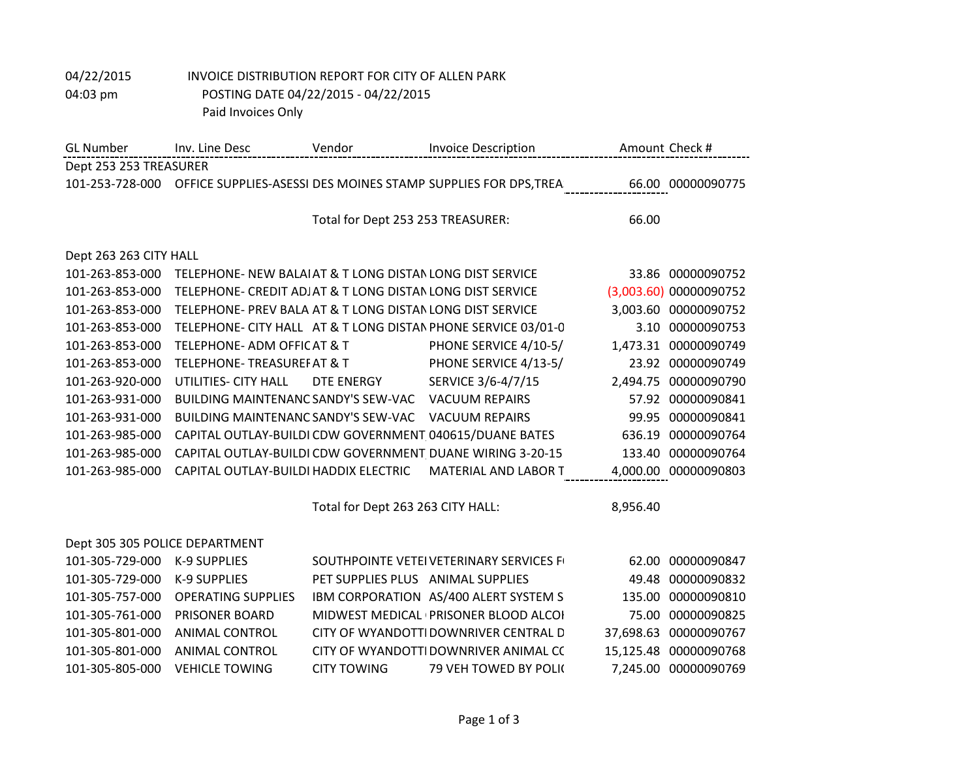| <b>GL</b> Number       | Inv. Line Desc                                            | Vendor                            | <b>Invoice Description</b>                                     | Amount Check # |                        |
|------------------------|-----------------------------------------------------------|-----------------------------------|----------------------------------------------------------------|----------------|------------------------|
| Dept 253 253 TREASURER |                                                           |                                   |                                                                |                |                        |
| 101-253-728-000        |                                                           |                                   | OFFICE SUPPLIES-ASESSI DES MOINES STAMP SUPPLIES FOR DPS, TREA |                | 66.00 00000090775      |
|                        |                                                           |                                   |                                                                |                |                        |
|                        |                                                           | Total for Dept 253 253 TREASURER: |                                                                | 66.00          |                        |
|                        |                                                           |                                   |                                                                |                |                        |
| Dept 263 263 CITY HALL |                                                           |                                   |                                                                |                |                        |
| 101-263-853-000        | TELEPHONE- NEW BALAIAT & T LONG DISTAN LONG DIST SERVICE  |                                   |                                                                |                | 33.86 00000090752      |
| 101-263-853-000        | TELEPHONE- CREDIT ADJAT & T LONG DISTAN LONG DIST SERVICE |                                   |                                                                |                | (3,003.60) 00000090752 |
| 101-263-853-000        | TELEPHONE- PREV BALA AT & T LONG DISTAN LONG DIST SERVICE |                                   |                                                                |                | 3,003.60 00000090752   |
| 101-263-853-000        |                                                           |                                   | TELEPHONE- CITY HALL AT & T LONG DISTAN PHONE SERVICE 03/01-0  |                | 3.10 00000090753       |
| 101-263-853-000        | <b>TELEPHONE- ADM OFFICAT &amp; T</b>                     |                                   | PHONE SERVICE 4/10-5/                                          |                | 1,473.31 00000090749   |
| 101-263-853-000        | <b>TELEPHONE-TREASUREFAT &amp; T</b>                      |                                   | PHONE SERVICE 4/13-5/                                          |                | 23.92 00000090749      |
| 101-263-920-000        | UTILITIES- CITY HALL                                      | DTE ENERGY                        | SERVICE 3/6-4/7/15                                             |                | 2,494.75 00000090790   |
| 101-263-931-000        | <b>BUILDING MAINTENANC SANDY'S SEW-VAC</b>                |                                   | <b>VACUUM REPAIRS</b>                                          |                | 57.92 00000090841      |
| 101-263-931-000        | <b>BUILDING MAINTENANC SANDY'S SEW-VAC</b>                |                                   | <b>VACUUM REPAIRS</b>                                          | 99.95          | 00000090841            |
| 101-263-985-000        | CAPITAL OUTLAY-BUILDI CDW GOVERNMENT 040615/DUANE BATES   |                                   |                                                                | 636.19         | 00000090764            |
| 101-263-985-000        |                                                           |                                   | CAPITAL OUTLAY-BUILDI CDW GOVERNMENT DUANE WIRING 3-20-15      |                | 133.40 00000090764     |
| 101-263-985-000        | CAPITAL OUTLAY-BUILDI HADDIX ELECTRIC                     |                                   | <b>MATERIAL AND LABOR T</b>                                    |                | 4,000.00 00000090803   |

Total for Dept 263 263 CITY HALL: 8,956.40

| Dept 305 305 POLICE DEPARTMENT |                           |                                   |                                        |                       |
|--------------------------------|---------------------------|-----------------------------------|----------------------------------------|-----------------------|
| 101-305-729-000 K-9 SUPPLIES   |                           |                                   | SOUTHPOINTE VETEIVETERINARY SERVICES F | 62.00 00000090847     |
| 101-305-729-000                | K-9 SUPPLIES              | PET SUPPLIES PLUS ANIMAL SUPPLIES |                                        | 49.48 00000090832     |
| 101-305-757-000                | <b>OPERATING SUPPLIES</b> |                                   | IBM CORPORATION AS/400 ALERT SYSTEM S  | 135.00 00000090810    |
| 101-305-761-000                | <b>PRISONER BOARD</b>     |                                   | MIDWEST MEDICAL (PRISONER BLOOD ALCOI  | 75.00 00000090825     |
| 101-305-801-000                | ANIMAL CONTROL            |                                   | CITY OF WYANDOTTIDOWNRIVER CENTRAL D   | 37,698.63 00000090767 |
| 101-305-801-000                | ANIMAL CONTROL            |                                   | CITY OF WYANDOTTIDOWNRIVER ANIMAL CC   | 15,125.48 00000090768 |
| 101-305-805-000                | VEHICLE TOWING            | <b>CITY TOWING</b>                | 79 VEH TOWED BY POLIC                  | 7,245.00 00000090769  |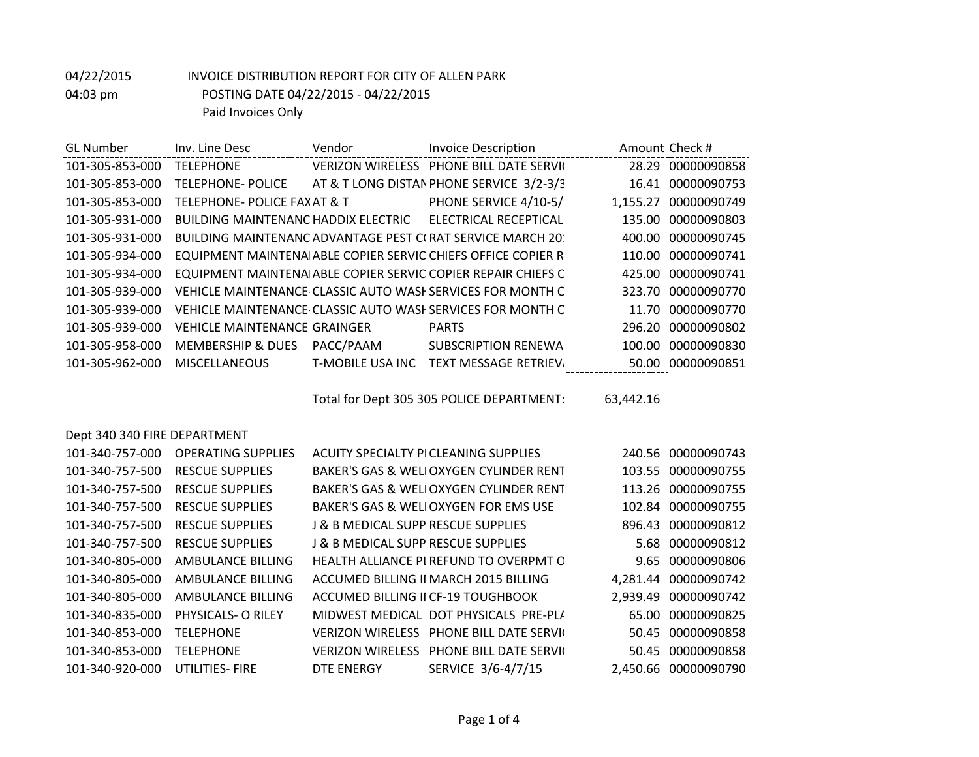| <b>PHONE BILL DATE SERVICE</b><br>101-305-853-000<br><b>VERIZON WIRELESS</b><br>28.29 00000090858<br><b>TELEPHONE</b><br>AT & T LONG DISTAN PHONE SERVICE 3/2-3/3<br>101-305-853-000<br><b>TELEPHONE-POLICE</b><br>00000090753<br>16.41<br>PHONE SERVICE 4/10-5/<br>101-305-853-000<br>TELEPHONE- POLICE FAX AT & T<br>00000090749<br>1.155.27<br>ELECTRICAL RECEPTICAL<br>00000090803<br>101-305-931-000<br>BUILDING MAINTENANC HADDIX ELECTRIC<br>135.00<br>101-305-931-000<br>BUILDING MAINTENANC ADVANTAGE PEST C(RAT SERVICE MARCH 20)<br>00000090745<br>400.00<br>EQUIPMENT MAINTENA ABLE COPIER SERVIC CHIEFS OFFICE COPIER R<br>101-305-934-000<br>00000090741<br>110.00<br>EQUIPMENT MAINTENA ABLE COPIER SERVIC COPIER REPAIR CHIEFS C<br>00000090741<br>101-305-934-000<br>425.00<br>101-305-939-000<br>VEHICLE MAINTENANCE CLASSIC AUTO WASH SERVICES FOR MONTH C<br>323.70 00000090770<br>101-305-939-000<br>VEHICLE MAINTENANCE CLASSIC AUTO WASH SERVICES FOR MONTH C<br>11.70 00000090770<br>101-305-939-000<br><b>VEHICLE MAINTENANCE GRAINGER</b><br>296.20 00000090802<br><b>PARTS</b><br>PACC/PAAM<br><b>MEMBERSHIP &amp; DUES</b><br>101-305-958-000<br><b>SUBSCRIPTION RENEWA</b><br>00000090830<br>100.00<br>101-305-962-000<br><b>MISCELLANEOUS</b><br>T-MOBILE USA INC<br>TEXT MESSAGE RETRIEV.<br>00000090851<br>50.00 | <b>GL Number</b> | Inv. Line Desc | Vendor | <b>Invoice Description</b> | Amount Check # |
|--------------------------------------------------------------------------------------------------------------------------------------------------------------------------------------------------------------------------------------------------------------------------------------------------------------------------------------------------------------------------------------------------------------------------------------------------------------------------------------------------------------------------------------------------------------------------------------------------------------------------------------------------------------------------------------------------------------------------------------------------------------------------------------------------------------------------------------------------------------------------------------------------------------------------------------------------------------------------------------------------------------------------------------------------------------------------------------------------------------------------------------------------------------------------------------------------------------------------------------------------------------------------------------------------------------------------------------------------|------------------|----------------|--------|----------------------------|----------------|
|                                                                                                                                                                                                                                                                                                                                                                                                                                                                                                                                                                                                                                                                                                                                                                                                                                                                                                                                                                                                                                                                                                                                                                                                                                                                                                                                                  |                  |                |        |                            |                |
|                                                                                                                                                                                                                                                                                                                                                                                                                                                                                                                                                                                                                                                                                                                                                                                                                                                                                                                                                                                                                                                                                                                                                                                                                                                                                                                                                  |                  |                |        |                            |                |
|                                                                                                                                                                                                                                                                                                                                                                                                                                                                                                                                                                                                                                                                                                                                                                                                                                                                                                                                                                                                                                                                                                                                                                                                                                                                                                                                                  |                  |                |        |                            |                |
|                                                                                                                                                                                                                                                                                                                                                                                                                                                                                                                                                                                                                                                                                                                                                                                                                                                                                                                                                                                                                                                                                                                                                                                                                                                                                                                                                  |                  |                |        |                            |                |
|                                                                                                                                                                                                                                                                                                                                                                                                                                                                                                                                                                                                                                                                                                                                                                                                                                                                                                                                                                                                                                                                                                                                                                                                                                                                                                                                                  |                  |                |        |                            |                |
|                                                                                                                                                                                                                                                                                                                                                                                                                                                                                                                                                                                                                                                                                                                                                                                                                                                                                                                                                                                                                                                                                                                                                                                                                                                                                                                                                  |                  |                |        |                            |                |
|                                                                                                                                                                                                                                                                                                                                                                                                                                                                                                                                                                                                                                                                                                                                                                                                                                                                                                                                                                                                                                                                                                                                                                                                                                                                                                                                                  |                  |                |        |                            |                |
|                                                                                                                                                                                                                                                                                                                                                                                                                                                                                                                                                                                                                                                                                                                                                                                                                                                                                                                                                                                                                                                                                                                                                                                                                                                                                                                                                  |                  |                |        |                            |                |
|                                                                                                                                                                                                                                                                                                                                                                                                                                                                                                                                                                                                                                                                                                                                                                                                                                                                                                                                                                                                                                                                                                                                                                                                                                                                                                                                                  |                  |                |        |                            |                |
|                                                                                                                                                                                                                                                                                                                                                                                                                                                                                                                                                                                                                                                                                                                                                                                                                                                                                                                                                                                                                                                                                                                                                                                                                                                                                                                                                  |                  |                |        |                            |                |
|                                                                                                                                                                                                                                                                                                                                                                                                                                                                                                                                                                                                                                                                                                                                                                                                                                                                                                                                                                                                                                                                                                                                                                                                                                                                                                                                                  |                  |                |        |                            |                |
|                                                                                                                                                                                                                                                                                                                                                                                                                                                                                                                                                                                                                                                                                                                                                                                                                                                                                                                                                                                                                                                                                                                                                                                                                                                                                                                                                  |                  |                |        |                            |                |

Total for Dept 305 305 POLICE DEPARTMENT: 63,442.16

| Dept 340 340 FIRE DEPARTMENT |
|------------------------------|
|------------------------------|

| 101-340-757-000 | <b>OPERATING SUPPLIES</b> |                                               | ACUITY SPECIALTY PICLEANING SUPPLIES    |        | 240.56 00000090743   |
|-----------------|---------------------------|-----------------------------------------------|-----------------------------------------|--------|----------------------|
| 101-340-757-500 | <b>RESCUE SUPPLIES</b>    |                                               | BAKER'S GAS & WELIOXYGEN CYLINDER RENT  |        | 103.55 00000090755   |
| 101-340-757-500 | <b>RESCUE SUPPLIES</b>    |                                               | BAKER'S GAS & WELIOXYGEN CYLINDER RENT  |        | 113.26 00000090755   |
| 101-340-757-500 | <b>RESCUE SUPPLIES</b>    |                                               | BAKER'S GAS & WELIOXYGEN FOR EMS USE    |        | 102.84 00000090755   |
| 101-340-757-500 | <b>RESCUE SUPPLIES</b>    | <b>J &amp; B MEDICAL SUPP RESCUE SUPPLIES</b> |                                         | 896.43 | 00000090812          |
| 101-340-757-500 | <b>RESCUE SUPPLIES</b>    | J & B MEDICAL SUPP RESCUE SUPPLIES            |                                         |        | 5.68 00000090812     |
| 101-340-805-000 | AMBULANCE BILLING         |                                               | HEALTH ALLIANCE PI REFUND TO OVERPMT C  |        | 9.65 00000090806     |
| 101-340-805-000 | AMBULANCE BILLING         |                                               | ACCUMED BILLING II MARCH 2015 BILLING   |        | 4,281.44 00000090742 |
| 101-340-805-000 | AMBULANCE BILLING         |                                               | ACCUMED BILLING II CF-19 TOUGHBOOK      |        | 2,939.49 00000090742 |
| 101-340-835-000 | PHYSICALS- O RILEY        |                                               | MIDWEST MEDICAL (DOT PHYSICALS PRE-PL/  |        | 65.00 00000090825    |
| 101-340-853-000 | <b>TELEPHONE</b>          |                                               | VERIZON WIRELESS PHONE BILL DATE SERVIC |        | 50.45 00000090858    |
| 101-340-853-000 | <b>TELEPHONE</b>          |                                               | VERIZON WIRELESS PHONE BILL DATE SERVIC |        | 50.45 00000090858    |
| 101-340-920-000 | <b>UTILITIES-FIRE</b>     | DTE ENERGY                                    | SERVICE 3/6-4/7/15                      |        | 2,450.66 00000090790 |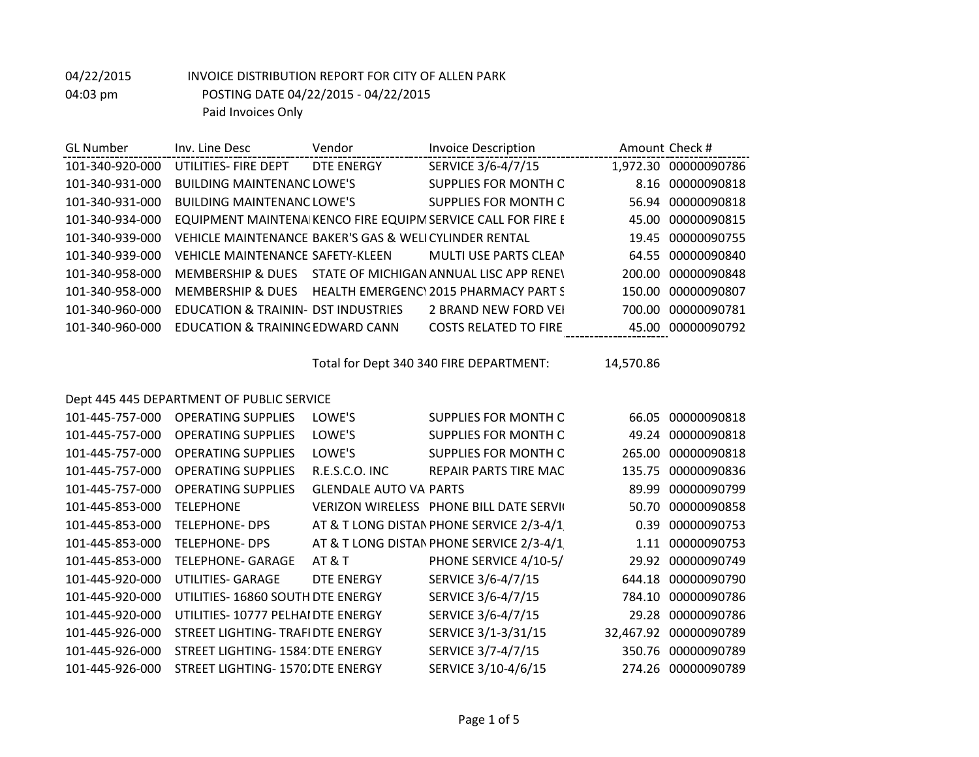| <b>GL Number</b> | Inv. Line Desc                                        | Vendor            | <b>Invoice Description</b>                                   |        | Amount Check #       |
|------------------|-------------------------------------------------------|-------------------|--------------------------------------------------------------|--------|----------------------|
| 101-340-920-000  | UTILITIES- FIRE DEPT                                  | <b>DTE ENERGY</b> | SERVICE 3/6-4/7/15                                           |        | 1,972.30 00000090786 |
| 101-340-931-000  | <b>BUILDING MAINTENANC LOWE'S</b>                     |                   | SUPPLIES FOR MONTH C                                         |        | 8.16 00000090818     |
| 101-340-931-000  | <b>BUILDING MAINTENANC LOWE'S</b>                     |                   | SUPPLIES FOR MONTH C                                         | 56.94  | 00000090818          |
| 101-340-934-000  |                                                       |                   | EQUIPMENT MAINTENA KENCO FIRE EQUIPM SERVICE CALL FOR FIRE E | 45.00  | 00000090815          |
| 101-340-939-000  | VEHICLE MAINTENANCE BAKER'S GAS & WELICYLINDER RENTAL |                   |                                                              | 19.45  | 00000090755          |
| 101-340-939-000  | <b>VEHICLE MAINTENANCE SAFETY-KLEEN</b>               |                   | <b>MULTI USE PARTS CLEAN</b>                                 |        | 64.55 00000090840    |
| 101-340-958-000  | MEMBERSHIP & DUES                                     |                   | STATE OF MICHIGAN ANNUAL LISC APP RENEY                      | 200.00 | 00000090848          |
| 101-340-958-000  | MEMBERSHIP & DUES                                     |                   | HEALTH EMERGENC\2015 PHARMACY PART S                         | 150.00 | 00000090807          |
| 101-340-960-000  | EDUCATION & TRAININ- DST INDUSTRIES                   |                   | 2 BRAND NEW FORD VEI                                         | 700.00 | 00000090781          |
| 101-340-960-000  | EDUCATION & TRAINING EDWARD CANN                      |                   | <b>COSTS RELATED TO FIRE</b>                                 |        | 45.00 00000090792    |

Total for Dept 340 340 FIRE DEPARTMENT: 14,570.86

#### Dept 445 445 DEPARTMENT OF PUBLIC SERVICE

| 101-445-757-000 | <b>OPERATING SUPPLIES</b>          | LOWE'S                         | SUPPLIES FOR MONTH C                     | 66.05     | 00000090818        |
|-----------------|------------------------------------|--------------------------------|------------------------------------------|-----------|--------------------|
| 101-445-757-000 | <b>OPERATING SUPPLIES</b>          | LOWE'S                         | SUPPLIES FOR MONTH C                     |           | 49.24 00000090818  |
| 101-445-757-000 | <b>OPERATING SUPPLIES</b>          | LOWE'S                         | SUPPLIES FOR MONTH C                     | 265.00    | 00000090818        |
| 101-445-757-000 | <b>OPERATING SUPPLIES</b>          | R.E.S.C.O. INC                 | REPAIR PARTS TIRE MAC                    | 135.75    | 00000090836        |
| 101-445-757-000 | <b>OPERATING SUPPLIES</b>          | <b>GLENDALE AUTO VAI PARTS</b> |                                          | 89.99     | 00000090799        |
| 101-445-853-000 | <b>TELEPHONE</b>                   |                                | VERIZON WIRELESS PHONE BILL DATE SERVIC  | 50.70     | 00000090858        |
| 101-445-853-000 | <b>TELEPHONE- DPS</b>              |                                | AT & T LONG DISTAN PHONE SERVICE 2/3-4/1 | 0.39      | 00000090753        |
| 101-445-853-000 | <b>TELEPHONE- DPS</b>              |                                | AT & T LONG DISTAN PHONE SERVICE 2/3-4/1 |           | 1.11 00000090753   |
| 101-445-853-000 | <b>TELEPHONE- GARAGE</b>           | AT & T                         | PHONE SERVICE 4/10-5/                    | 29.92     | 00000090749        |
| 101-445-920-000 | UTILITIES- GARAGE                  | DTE ENERGY                     | SERVICE 3/6-4/7/15                       |           | 644.18 00000090790 |
| 101-445-920-000 | UTILITIES-16860 SOUTH DTE ENERGY   |                                | SERVICE 3/6-4/7/15                       | 784.10    | 00000090786        |
| 101-445-920-000 | UTILITIES- 10777 PELHAI DTE ENERGY |                                | SERVICE 3/6-4/7/15                       |           | 29.28 00000090786  |
| 101-445-926-000 | STREET LIGHTING- TRAFIDTE ENERGY   |                                | SERVICE 3/1-3/31/15                      | 32,467.92 | 00000090789        |
| 101-445-926-000 | STREET LIGHTING- 1584: DTE ENERGY  |                                | SERVICE 3/7-4/7/15                       |           | 350.76 00000090789 |
| 101-445-926-000 | STREET LIGHTING- 1570. DTE ENERGY  |                                | SERVICE 3/10-4/6/15                      | 274.26    | 00000090789        |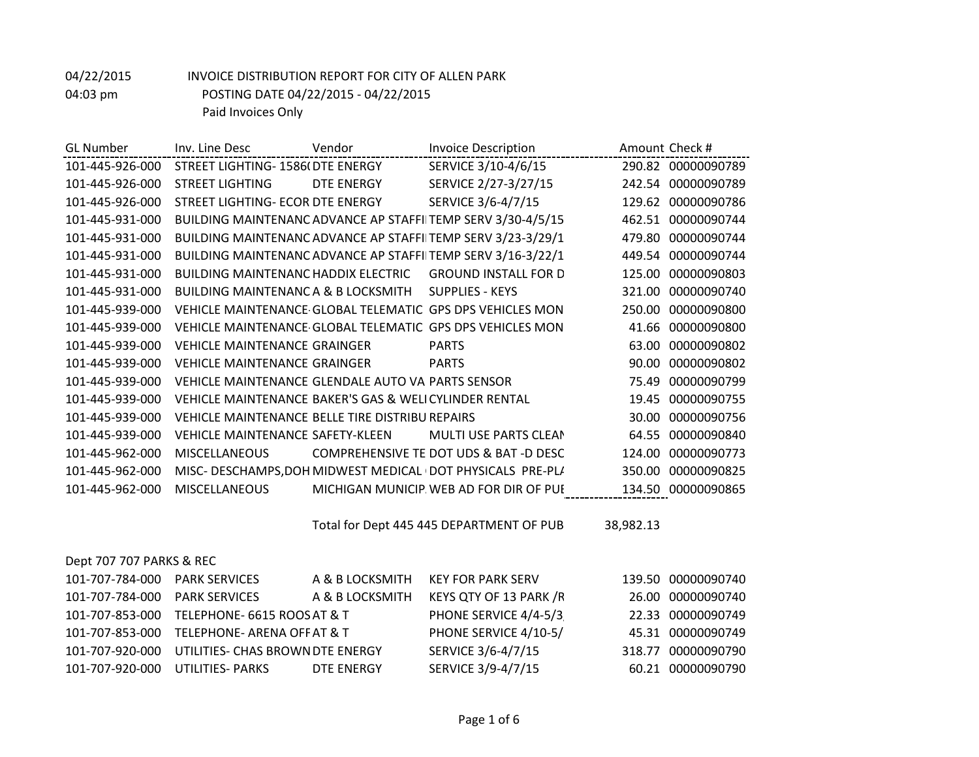| <b>GL Number</b> | Inv. Line Desc                                        | Vendor     | <b>Invoice Description</b>                                   |        | Amount Check #     |
|------------------|-------------------------------------------------------|------------|--------------------------------------------------------------|--------|--------------------|
| 101-445-926-000  | STREET LIGHTING- 1586(DTE ENERGY                      |            | SERVICE 3/10-4/6/15                                          |        | 290.82 00000090789 |
| 101-445-926-000  | <b>STREET LIGHTING</b>                                | DTE ENERGY | SERVICE 2/27-3/27/15                                         |        | 242.54 00000090789 |
| 101-445-926-000  | STREET LIGHTING- ECOR DTE ENERGY                      |            | SERVICE 3/6-4/7/15                                           |        | 129.62 00000090786 |
| 101-445-931-000  |                                                       |            | BUILDING MAINTENANC ADVANCE AP STAFFIITEMP SERV 3/30-4/5/15  |        | 462.51 00000090744 |
| 101-445-931-000  |                                                       |            | BUILDING MAINTENANC ADVANCE AP STAFFIITEMP SERV 3/23-3/29/1  |        | 479.80 00000090744 |
| 101-445-931-000  |                                                       |            | BUILDING MAINTENANC ADVANCE AP STAFFIITEMP SERV 3/16-3/22/1  | 449.54 | 00000090744        |
| 101-445-931-000  | <b>BUILDING MAINTENANC HADDIX ELECTRIC</b>            |            | <b>GROUND INSTALL FOR D</b>                                  | 125.00 | 00000090803        |
| 101-445-931-000  | BUILDING MAINTENANCA & B LOCKSMITH                    |            | <b>SUPPLIES - KEYS</b>                                       | 321.00 | 00000090740        |
| 101-445-939-000  |                                                       |            | VEHICLE MAINTENANCE GLOBAL TELEMATIC: GPS DPS VEHICLES MON   | 250.00 | 00000090800        |
| 101-445-939-000  |                                                       |            | VEHICLE MAINTENANCE GLOBAL TELEMATIC GPS DPS VEHICLES MON    |        | 41.66 00000090800  |
| 101-445-939-000  | <b>VEHICLE MAINTENANCE GRAINGER</b>                   |            | <b>PARTS</b>                                                 | 63.00  | 00000090802        |
| 101-445-939-000  | <b>VEHICLE MAINTENANCE GRAINGER</b>                   |            | <b>PARTS</b>                                                 | 90.00  | 00000090802        |
| 101-445-939-000  | VEHICLE MAINTENANCE GLENDALE AUTO VALPARTS SENSOR     |            |                                                              | 75.49  | 00000090799        |
| 101-445-939-000  | VEHICLE MAINTENANCE BAKER'S GAS & WELICYLINDER RENTAL |            |                                                              | 19.45  | 00000090755        |
| 101-445-939-000  | VEHICLE MAINTENANCE BELLE TIRE DISTRIBU REPAIRS       |            |                                                              | 30.00  | 00000090756        |
| 101-445-939-000  | VEHICLE MAINTENANCE SAFETY-KLEEN                      |            | MULTI USE PARTS CLEAN                                        | 64.55  | 00000090840        |
| 101-445-962-000  | <b>MISCELLANEOUS</b>                                  |            | COMPREHENSIVE TE DOT UDS & BAT -D DESC                       | 124.00 | 00000090773        |
| 101-445-962-000  |                                                       |            | MISC- DESCHAMPS, DOH MIDWEST MEDICAL I DOT PHYSICALS PRE-PL/ | 350.00 | 00000090825        |
| 101-445-962-000  | <b>MISCELLANEOUS</b>                                  |            | MICHIGAN MUNICIP. WEB AD FOR DIR OF PUI                      |        | 134.50 00000090865 |
|                  |                                                       |            |                                                              |        |                    |

Total for Dept 445 445 DEPARTMENT OF PUB 38,982.13

| Dept 707 707 PARKS & REC      |                                             |                 |                          |                    |
|-------------------------------|---------------------------------------------|-----------------|--------------------------|--------------------|
| 101-707-784-000 PARK SERVICES |                                             | A & B LOCKSMITH | <b>KEY FOR PARK SERV</b> | 139.50 00000090740 |
| 101-707-784-000               | <b>PARK SERVICES</b>                        | A & B LOCKSMITH | KEYS QTY OF 13 PARK /R   | 26.00 00000090740  |
|                               | 101-707-853-000 TELEPHONE- 6615 ROOS AT & T |                 | PHONE SERVICE 4/4-5/3    | 22.33 00000090749  |
|                               | 101-707-853-000 TELEPHONE- ARENA OFF AT & T |                 | PHONE SERVICE 4/10-5/    | 45.31 00000090749  |
| 101-707-920-000               | UTILITIES- CHAS BROWN DTE ENERGY            |                 | SERVICE 3/6-4/7/15       | 318.77 00000090790 |
| 101-707-920-000               | UTILITIES- PARKS                            | DTE ENERGY      | SERVICE 3/9-4/7/15       | 60.21 00000090790  |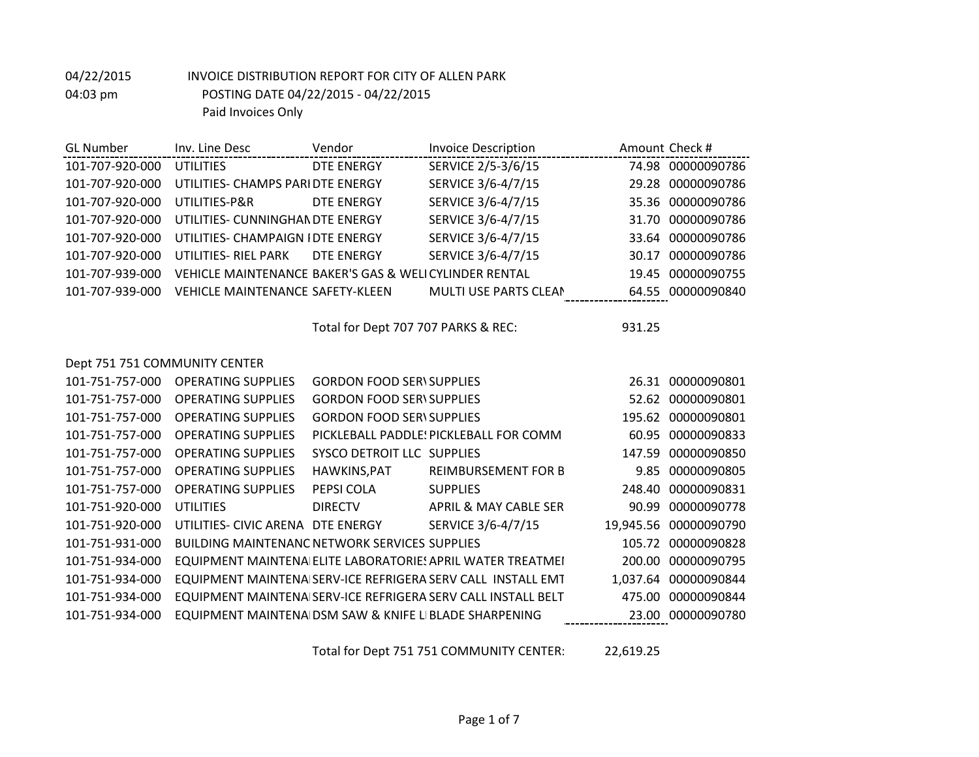| <b>GL Number</b>              | Inv. Line Desc                                        | Vendor                              | <b>Invoice Description</b>                                   |        | Amount Check #        |
|-------------------------------|-------------------------------------------------------|-------------------------------------|--------------------------------------------------------------|--------|-----------------------|
| 101-707-920-000               | <b>UTILITIES</b>                                      | <b>DTE ENERGY</b>                   | SERVICE 2/5-3/6/15                                           |        | 74.98 00000090786     |
| 101-707-920-000               | UTILITIES- CHAMPS PARI DTE ENERGY                     |                                     | SERVICE 3/6-4/7/15                                           |        | 29.28 00000090786     |
| 101-707-920-000               | UTILITIES-P&R                                         | DTE ENERGY                          | SERVICE 3/6-4/7/15                                           |        | 35.36 00000090786     |
| 101-707-920-000               | UTILITIES- CUNNINGHAN DTE ENERGY                      |                                     | SERVICE 3/6-4/7/15                                           |        | 31.70 00000090786     |
| 101-707-920-000               | UTILITIES- CHAMPAIGN I DTE ENERGY                     |                                     | SERVICE 3/6-4/7/15                                           |        | 33.64 00000090786     |
| 101-707-920-000               | UTILITIES- RIEL PARK                                  | <b>DTE ENERGY</b>                   | SERVICE 3/6-4/7/15                                           |        | 30.17 00000090786     |
| 101-707-939-000               | VEHICLE MAINTENANCE BAKER'S GAS & WELICYLINDER RENTAL |                                     |                                                              | 19.45  | 00000090755           |
| 101-707-939-000               | <b>VEHICLE MAINTENANCE SAFETY-KLEEN</b>               |                                     | MULTI USE PARTS CLEAN                                        |        | 64.55 00000090840     |
|                               |                                                       |                                     |                                                              |        |                       |
|                               |                                                       | Total for Dept 707 707 PARKS & REC: |                                                              | 931.25 |                       |
|                               |                                                       |                                     |                                                              |        |                       |
| Dept 751 751 COMMUNITY CENTER |                                                       |                                     |                                                              |        |                       |
| 101-751-757-000               | <b>OPERATING SUPPLIES</b>                             | <b>GORDON FOOD SERVSUPPLIES</b>     |                                                              |        | 26.31 00000090801     |
| 101-751-757-000               | <b>OPERATING SUPPLIES</b>                             | <b>GORDON FOOD SER\ SUPPLIES</b>    |                                                              |        | 52.62 00000090801     |
| 101-751-757-000               | <b>OPERATING SUPPLIES</b>                             | <b>GORDON FOOD SERVSUPPLIES</b>     |                                                              |        | 195.62 00000090801    |
| 101-751-757-000               | <b>OPERATING SUPPLIES</b>                             |                                     | PICKLEBALL PADDLE! PICKLEBALL FOR COMM                       |        | 60.95 00000090833     |
| 101-751-757-000               | <b>OPERATING SUPPLIES</b>                             | SYSCO DETROIT LLC SUPPLIES          |                                                              | 147.59 | 00000090850           |
| 101-751-757-000               | <b>OPERATING SUPPLIES</b>                             | HAWKINS, PAT                        | <b>REIMBURSEMENT FOR B</b>                                   |        | 9.85 00000090805      |
| 101-751-757-000               | <b>OPERATING SUPPLIES</b>                             | PEPSI COLA                          | <b>SUPPLIES</b>                                              | 248.40 | 00000090831           |
| 101-751-920-000               | <b>UTILITIES</b>                                      | <b>DIRECTV</b>                      | <b>APRIL &amp; MAY CABLE SER</b>                             | 90.99  | 00000090778           |
| 101-751-920-000               | UTILITIES- CIVIC ARENA DTE ENERGY                     |                                     | SERVICE 3/6-4/7/15                                           |        | 19,945.56 00000090790 |
| 101-751-931-000               | <b>BUILDING MAINTENANC NETWORK SERVICES SUPPLIES</b>  |                                     |                                                              |        | 105.72 00000090828    |
| 101-751-934-000               |                                                       |                                     | EQUIPMENT MAINTENA ELITE LABORATORIES APRIL WATER TREATMEI   |        | 200.00 00000090795    |
| 101-751-934-000               |                                                       |                                     | EQUIPMENT MAINTENA SERV-ICE REFRIGERA SERV CALL INSTALL EMT  |        | 1,037.64 00000090844  |
| 101-751-934-000               |                                                       |                                     | EQUIPMENT MAINTENA SERV-ICE REFRIGERA SERV CALL INSTALL BELT |        | 475.00 00000090844    |
| 101-751-934-000               | EQUIPMENT MAINTENA DSM SAW & KNIFE LIBLADE SHARPENING |                                     |                                                              |        | 23.00 00000090780     |
|                               |                                                       |                                     |                                                              |        |                       |

Total for Dept 751 751 COMMUNITY CENTER: 22,619.25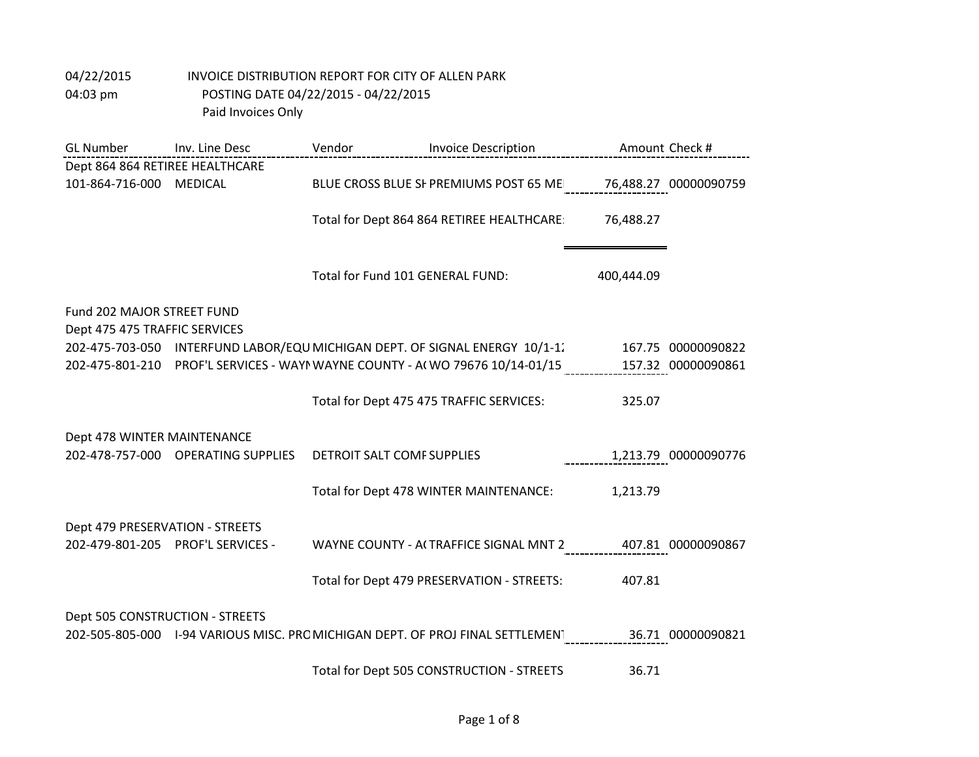| <b>GL Number</b>                                            | Inv. Line Desc                     | Vendor                           | <b>Invoice Description</b>                                                                      |            | Amount Check #       |
|-------------------------------------------------------------|------------------------------------|----------------------------------|-------------------------------------------------------------------------------------------------|------------|----------------------|
| Dept 864 864 RETIREE HEALTHCARE                             |                                    |                                  |                                                                                                 |            |                      |
| 101-864-716-000                                             | MEDICAL                            |                                  | BLUE CROSS BLUE SF PREMIUMS POST 65 ME 76,488.27 00000090759                                    |            |                      |
|                                                             |                                    |                                  | Total for Dept 864 864 RETIREE HEALTHCARE                                                       | 76,488.27  |                      |
|                                                             |                                    | Total for Fund 101 GENERAL FUND: |                                                                                                 | 400,444.09 |                      |
| Fund 202 MAJOR STREET FUND<br>Dept 475 475 TRAFFIC SERVICES |                                    |                                  |                                                                                                 |            |                      |
|                                                             |                                    |                                  | 202-475-703-050 INTERFUND LABOR/EQU MICHIGAN DEPT. OF SIGNAL ENERGY 10/1-1.                     |            | 167.75 00000090822   |
|                                                             |                                    |                                  | 202-475-801-210 PROF'L SERVICES - WAYN WAYNE COUNTY - A(WO 79676 10/14-01/15 157.32 00000090861 |            |                      |
|                                                             |                                    |                                  | Total for Dept 475 475 TRAFFIC SERVICES:                                                        | 325.07     |                      |
| Dept 478 WINTER MAINTENANCE                                 |                                    |                                  |                                                                                                 |            |                      |
|                                                             | 202-478-757-000 OPERATING SUPPLIES | DETROIT SALT COMF SUPPLIES       |                                                                                                 |            | 1,213.79 00000090776 |
|                                                             |                                    |                                  | Total for Dept 478 WINTER MAINTENANCE:                                                          | 1,213.79   |                      |
| Dept 479 PRESERVATION - STREETS                             |                                    |                                  |                                                                                                 |            |                      |
|                                                             | 202-479-801-205 PROF'L SERVICES -  |                                  | WAYNE COUNTY - ACTRAFFICE SIGNAL MNT 2                                                          |            | 407.81 00000090867   |
|                                                             |                                    |                                  | Total for Dept 479 PRESERVATION - STREETS:                                                      | 407.81     |                      |
| Dept 505 CONSTRUCTION - STREETS                             |                                    |                                  | 202-505-805-000 I-94 VARIOUS MISC. PRC MICHIGAN DEPT. OF PROJ FINAL SETTLEMENT                  |            | 36.71 00000090821    |
|                                                             |                                    |                                  | Total for Dept 505 CONSTRUCTION - STREETS                                                       | 36.71      |                      |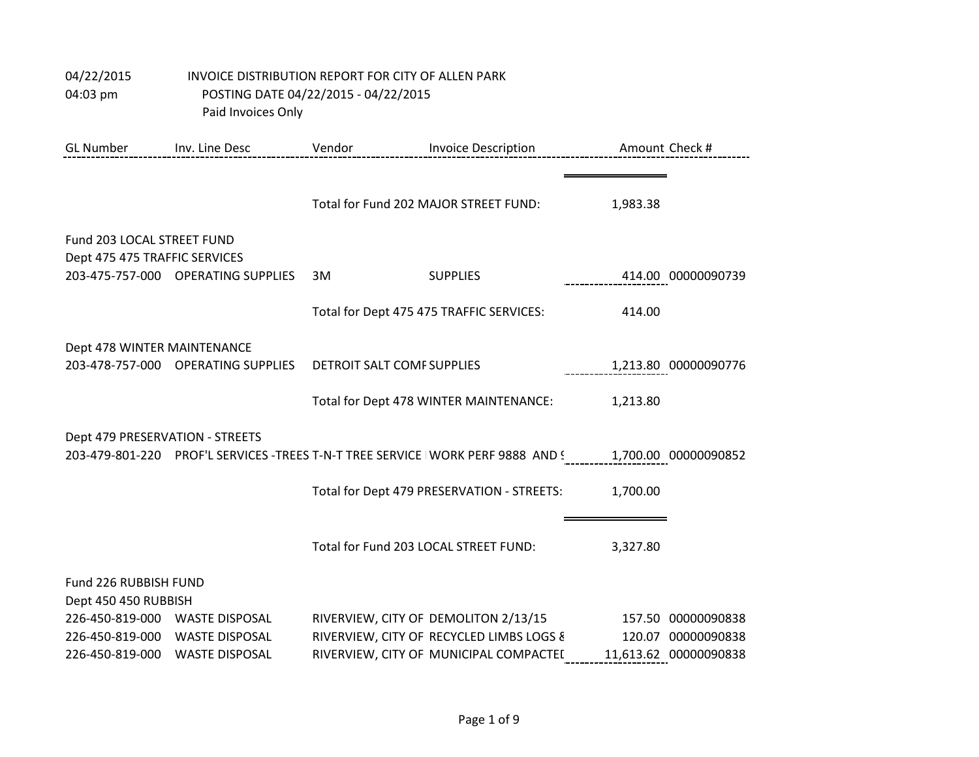| 04/22/2015         | INVOICE DISTRIBUTION REPORT FOR CITY OF ALLEN PARK |
|--------------------|----------------------------------------------------|
| $04:03 \text{ pm}$ | POSTING DATE 04/22/2015 - 04/22/2015               |
|                    | Paid Invoices Only                                 |

| <b>GL Number</b>                                            | Inv. Line Desc                                 | Vendor<br><b>Invoice Description</b> |                                                                                    |          | Amount Check #                              |
|-------------------------------------------------------------|------------------------------------------------|--------------------------------------|------------------------------------------------------------------------------------|----------|---------------------------------------------|
|                                                             |                                                |                                      | Total for Fund 202 MAJOR STREET FUND:                                              | 1,983.38 |                                             |
| Fund 203 LOCAL STREET FUND<br>Dept 475 475 TRAFFIC SERVICES |                                                |                                      |                                                                                    |          |                                             |
|                                                             | 203-475-757-000 OPERATING SUPPLIES             | 3M                                   | <b>SUPPLIES</b>                                                                    |          | 414.00 00000090739                          |
|                                                             |                                                |                                      | Total for Dept 475 475 TRAFFIC SERVICES:                                           | 414.00   |                                             |
| Dept 478 WINTER MAINTENANCE                                 | 203-478-757-000 OPERATING SUPPLIES             | DETROIT SALT COMF SUPPLIES           |                                                                                    |          | 1,213.80 00000090776                        |
|                                                             |                                                |                                      | Total for Dept 478 WINTER MAINTENANCE:                                             | 1,213.80 |                                             |
| Dept 479 PRESERVATION - STREETS                             |                                                |                                      | 203-479-801-220 PROF'L SERVICES -TREES T-N-T TREE SERVICE I WORK PERF 9888 AND !   |          | 1,700.00 00000090852                        |
|                                                             |                                                |                                      | Total for Dept 479 PRESERVATION - STREETS:                                         | 1,700.00 |                                             |
|                                                             |                                                |                                      | Total for Fund 203 LOCAL STREET FUND:                                              | 3,327.80 |                                             |
| Fund 226 RUBBISH FUND<br>Dept 450 450 RUBBISH               |                                                |                                      |                                                                                    |          |                                             |
| 226-450-819-000 WASTE DISPOSAL                              |                                                |                                      | RIVERVIEW, CITY OF DEMOLITON 2/13/15                                               |          | 157.50 00000090838                          |
| 226-450-819-000<br>226-450-819-000                          | <b>WASTE DISPOSAL</b><br><b>WASTE DISPOSAL</b> |                                      | RIVERVIEW, CITY OF RECYCLED LIMBS LOGS &<br>RIVERVIEW, CITY OF MUNICIPAL COMPACTEI |          | 120.07 00000090838<br>11,613.62 00000090838 |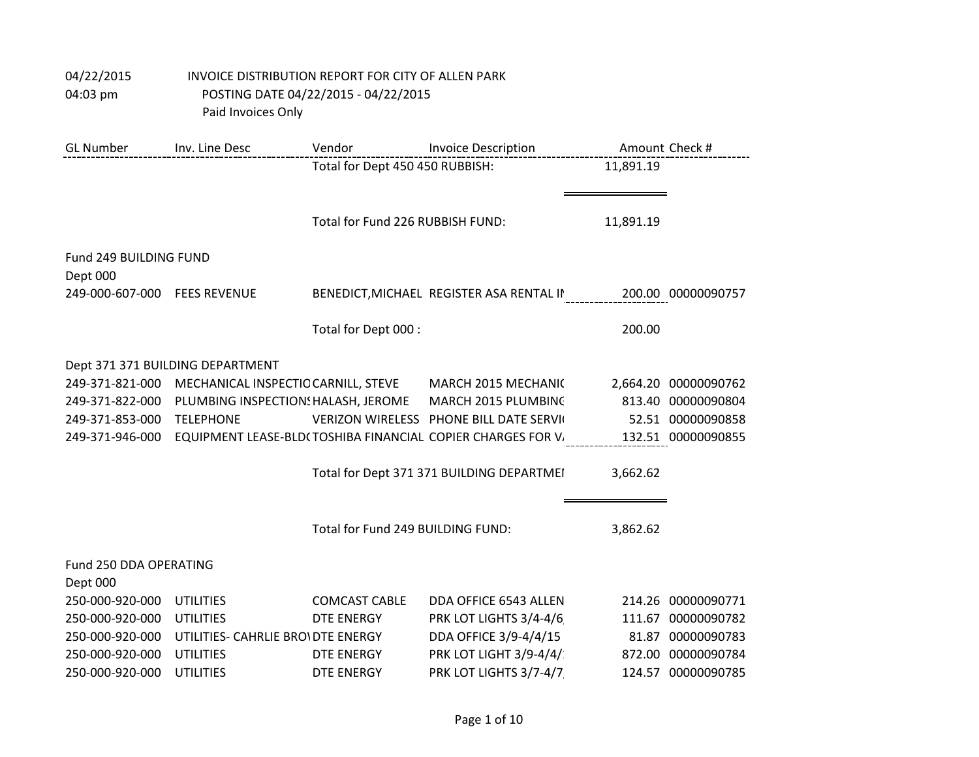| <b>GL Number</b>       | Inv. Line Desc                      | Vendor                            | <b>Invoice Description</b>                                  |           | Amount Check #       |
|------------------------|-------------------------------------|-----------------------------------|-------------------------------------------------------------|-----------|----------------------|
|                        |                                     | Total for Dept 450 450 RUBBISH:   |                                                             | 11,891.19 |                      |
|                        |                                     |                                   |                                                             |           |                      |
|                        |                                     |                                   |                                                             |           |                      |
|                        |                                     | Total for Fund 226 RUBBISH FUND:  |                                                             | 11,891.19 |                      |
| Fund 249 BUILDING FUND |                                     |                                   |                                                             |           |                      |
| Dept 000               |                                     |                                   |                                                             |           |                      |
| 249-000-607-000        | <b>FEES REVENUE</b>                 |                                   | BENEDICT, MICHAEL REGISTER ASA RENTAL II                    |           | 200.00 00000090757   |
|                        |                                     |                                   |                                                             |           |                      |
|                        |                                     | Total for Dept 000:               |                                                             | 200.00    |                      |
|                        |                                     |                                   |                                                             |           |                      |
|                        | Dept 371 371 BUILDING DEPARTMENT    |                                   |                                                             |           |                      |
| 249-371-821-000        | MECHANICAL INSPECTIC CARNILL, STEVE |                                   | MARCH 2015 MECHANIC                                         |           | 2,664.20 00000090762 |
| 249-371-822-000        | PLUMBING INSPECTION: HALASH, JEROME |                                   | MARCH 2015 PLUMBING                                         |           | 813.40 00000090804   |
| 249-371-853-000        | <b>TELEPHONE</b>                    |                                   | VERIZON WIRELESS PHONE BILL DATE SERVIC                     |           | 52.51 00000090858    |
| 249-371-946-000        |                                     |                                   | EQUIPMENT LEASE-BLD(TOSHIBA FINANCIAL COPIER CHARGES FOR V. |           | 132.51 00000090855   |
|                        |                                     |                                   |                                                             |           |                      |
|                        |                                     |                                   | Total for Dept 371 371 BUILDING DEPARTMEI                   | 3,662.62  |                      |
|                        |                                     |                                   |                                                             |           |                      |
|                        |                                     | Total for Fund 249 BUILDING FUND: |                                                             | 3,862.62  |                      |
|                        |                                     |                                   |                                                             |           |                      |
| Fund 250 DDA OPERATING |                                     |                                   |                                                             |           |                      |
| Dept 000               |                                     |                                   |                                                             |           |                      |
| 250-000-920-000        | <b>UTILITIES</b>                    | <b>COMCAST CABLE</b>              | DDA OFFICE 6543 ALLEN                                       |           | 214.26 00000090771   |
| 250-000-920-000        | <b>UTILITIES</b>                    | <b>DTE ENERGY</b>                 | PRK LOT LIGHTS 3/4-4/6                                      |           | 111.67 00000090782   |
| 250-000-920-000        | UTILITIES- CAHRLIE BRO\ DTE ENERGY  |                                   | DDA OFFICE 3/9-4/4/15                                       |           | 81.87 00000090783    |
| 250-000-920-000        | <b>UTILITIES</b>                    | <b>DTE ENERGY</b>                 | PRK LOT LIGHT 3/9-4/4/                                      |           | 872.00 00000090784   |
| 250-000-920-000        | <b>UTILITIES</b>                    | <b>DTE ENERGY</b>                 | PRK LOT LIGHTS 3/7-4/7                                      |           | 124.57 00000090785   |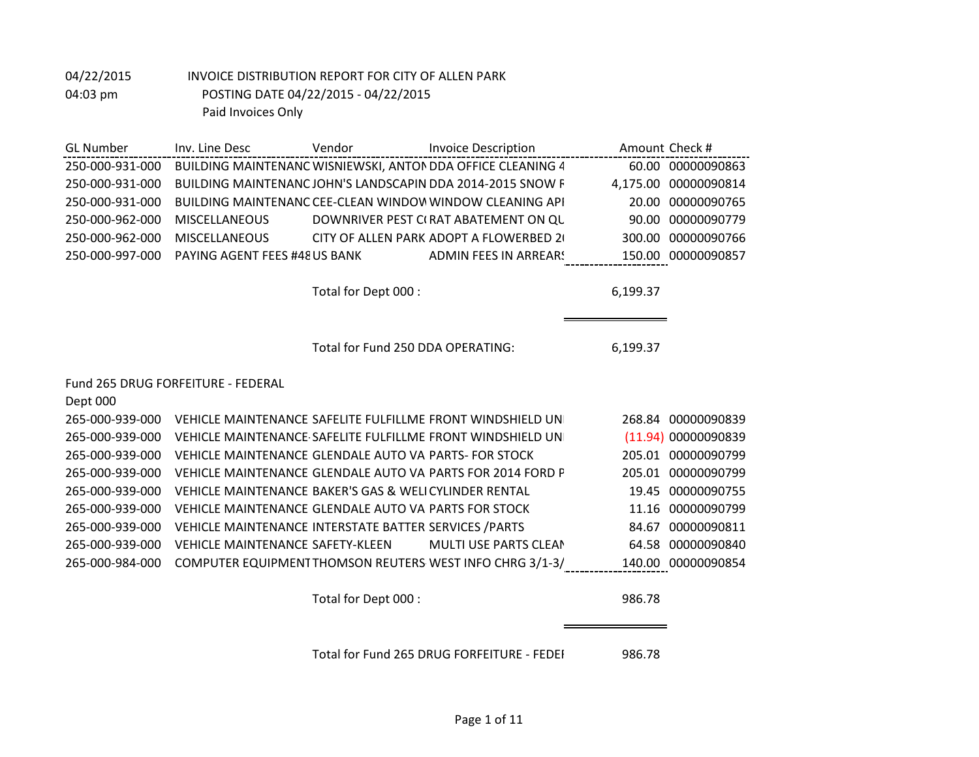| <b>GL Number</b> | Inv. Line Desc                | Vendor | <b>Invoice Description</b>                                  |          | Amount Check #     |
|------------------|-------------------------------|--------|-------------------------------------------------------------|----------|--------------------|
| 250-000-931-000  |                               |        | BUILDING MAINTENANC WISNIEWSKI, ANTON DDA OFFICE CLEANING 4 |          | 60.00 00000090863  |
| 250-000-931-000  |                               |        | BUILDING MAINTENANC JOHN'S LANDSCAPIN DDA 2014-2015 SNOW F  | 4.175.00 | 00000090814        |
| 250-000-931-000  |                               |        | BUILDING MAINTENANC CEE-CLEAN WINDOW WINDOW CLEANING API    | 20.00    | 00000090765        |
| 250-000-962-000  | <b>MISCELLANEOUS</b>          |        | DOWNRIVER PEST C(RAT ABATEMENT ON QU                        | 90.00    | 00000090779        |
| 250-000-962-000  | <b>MISCELLANEOUS</b>          |        | CITY OF ALLEN PARK ADOPT A FLOWERBED 20                     | 300.00   | 00000090766        |
| 250-000-997-000  | PAYING AGENT FEES #48 US BANK |        | ADMIN FEES IN ARREAR!                                       |          | 150.00 00000090857 |
|                  |                               |        |                                                             |          |                    |

Total for Dept 000 : 6,199.37

Total for Fund 250 DDA OPERATING: 6,199.37

#### Fund 265 DRUG FORFEITURE - FEDERAL

| Dept 000        |                                                             |                     |
|-----------------|-------------------------------------------------------------|---------------------|
| 265-000-939-000 | VEHICLE MAINTENANCE SAFELITE FULFILLME FRONT WINDSHIELD UN  | 268.84 00000090839  |
| 265-000-939-000 | VEHICLE MAINTENANCE SAFELITE FULFILLME FRONT WINDSHIELD UN  | (11.94) 00000090839 |
| 265-000-939-000 | VEHICLE MAINTENANCE GLENDALE AUTO VAIPARTS- FOR STOCK       | 205.01 00000090799  |
| 265-000-939-000 | VEHICLE MAINTENANCE GLENDALE AUTO VAI PARTS FOR 2014 FORD P | 205.01 00000090799  |
| 265-000-939-000 | VEHICLE MAINTENANCE BAKER'S GAS & WELICYLINDER RENTAL       | 19.45 00000090755   |
| 265-000-939-000 | VEHICLE MAINTENANCE GLENDALE AUTO VAI PARTS FOR STOCK       | 11.16 00000090799   |
| 265-000-939-000 | VEHICLE MAINTENANCE INTERSTATE BATTER SERVICES / PARTS      | 84.67 00000090811   |
| 265-000-939-000 | MULTI USE PARTS CLEAN<br>VEHICLE MAINTENANCE SAFETY-KLEEN   | 64.58 00000090840   |
| 265-000-984-000 | COMPUTER EQUIPMENT THOMSON REUTERS WEST INFO CHRG 3/1-3/    | 140.00 00000090854  |
|                 |                                                             |                     |

Total for Dept 000 : 986.78

Total for Fund 265 DRUG FORFEITURE - FEDEI 986.78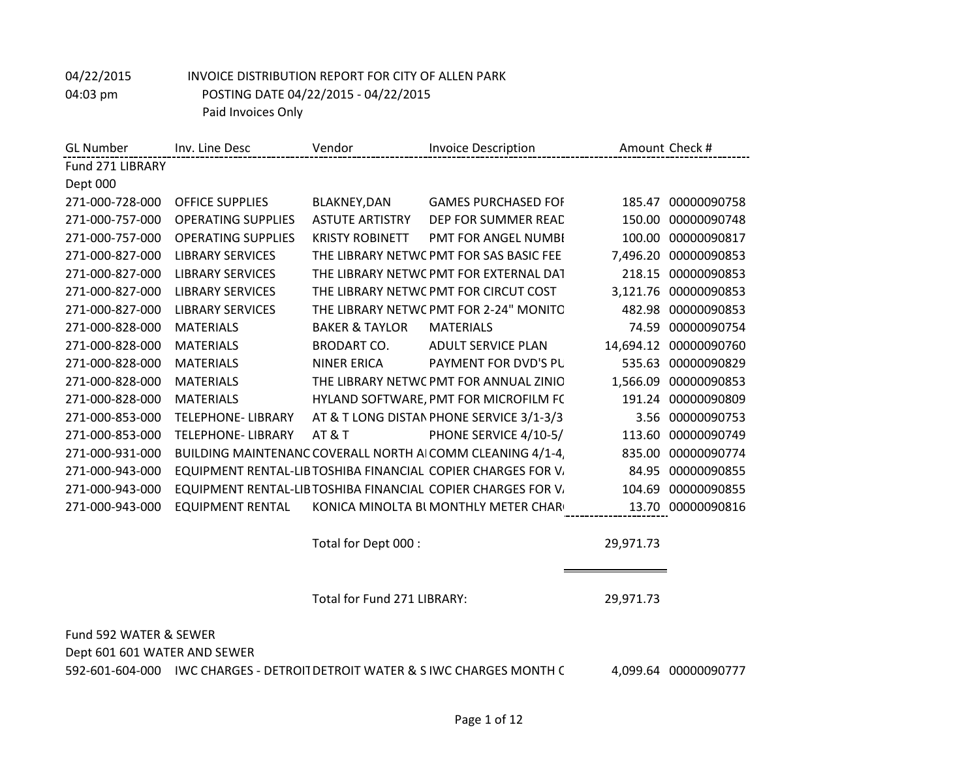| <b>GL</b> Number | Inv. Line Desc            | Vendor                    | <b>Invoice Description</b>                                   |           | Amount Check # |
|------------------|---------------------------|---------------------------|--------------------------------------------------------------|-----------|----------------|
| Fund 271 LIBRARY |                           |                           |                                                              |           |                |
| Dept 000         |                           |                           |                                                              |           |                |
| 271-000-728-000  | <b>OFFICE SUPPLIES</b>    | BLAKNEY, DAN              | <b>GAMES PURCHASED FOF</b>                                   | 185.47    | 00000090758    |
| 271-000-757-000  | <b>OPERATING SUPPLIES</b> | <b>ASTUTE ARTISTRY</b>    | DEP FOR SUMMER READ                                          | 150.00    | 00000090748    |
| 271-000-757-000  | <b>OPERATING SUPPLIES</b> | <b>KRISTY ROBINETT</b>    | <b>PMT FOR ANGEL NUMBI</b>                                   | 100.00    | 00000090817    |
| 271-000-827-000  | <b>LIBRARY SERVICES</b>   |                           | THE LIBRARY NETWC PMT FOR SAS BASIC FEE                      | 7,496.20  | 00000090853    |
| 271-000-827-000  | <b>LIBRARY SERVICES</b>   |                           | THE LIBRARY NETWC PMT FOR EXTERNAL DAT                       | 218.15    | 00000090853    |
| 271-000-827-000  | <b>LIBRARY SERVICES</b>   |                           | THE LIBRARY NETWC PMT FOR CIRCUT COST                        | 3,121.76  | 00000090853    |
| 271-000-827-000  | <b>LIBRARY SERVICES</b>   |                           | THE LIBRARY NETWC PMT FOR 2-24" MONITC                       | 482.98    | 00000090853    |
| 271-000-828-000  | <b>MATERIALS</b>          | <b>BAKER &amp; TAYLOR</b> | <b>MATERIALS</b>                                             | 74.59     | 00000090754    |
| 271-000-828-000  | <b>MATERIALS</b>          | <b>BRODART CO.</b>        | <b>ADULT SERVICE PLAN</b>                                    | 14,694.12 | 00000090760    |
| 271-000-828-000  | <b>MATERIALS</b>          | <b>NINER ERICA</b>        | PAYMENT FOR DVD'S PL                                         | 535.63    | 00000090829    |
| 271-000-828-000  | <b>MATERIALS</b>          |                           | THE LIBRARY NETWC PMT FOR ANNUAL ZINIO                       | 1,566.09  | 00000090853    |
| 271-000-828-000  | <b>MATERIALS</b>          |                           | HYLAND SOFTWARE, PMT FOR MICROFILM FC                        | 191.24    | 00000090809    |
| 271-000-853-000  | TELEPHONE- LIBRARY        |                           | AT & T LONG DISTAN PHONE SERVICE 3/1-3/3                     | 3.56      | 00000090753    |
| 271-000-853-000  | TELEPHONE- LIBRARY        | <b>AT &amp; T</b>         | PHONE SERVICE 4/10-5/                                        | 113.60    | 00000090749    |
| 271-000-931-000  |                           |                           | BUILDING MAINTENANC COVERALL NORTH AICOMM CLEANING 4/1-4,    | 835.00    | 00000090774    |
| 271-000-943-000  |                           |                           | EQUIPMENT RENTAL-LIB TOSHIBA FINANCIAL COPIER CHARGES FOR V. | 84.95     | 00000090855    |
| 271-000-943-000  |                           |                           | EQUIPMENT RENTAL-LIB TOSHIBA FINANCIAL COPIER CHARGES FOR V. | 104.69    | 00000090855    |
| 271-000-943-000  | EQUIPMENT RENTAL          |                           | KONICA MINOLTA BI MONTHLY METER CHAR                         | 13.70     | 00000090816    |

Total for Dept 000 : 29,971.73

Total for Fund 271 LIBRARY: 29,971.73

Fund 592 WATER & SEWER Dept 601 601 WATER AND SEWER

592-601-604-000 IWC CHARGES - DETROIT DETROIT WATER & SIWC CHARGES MONTH C 4,099.64 00000090777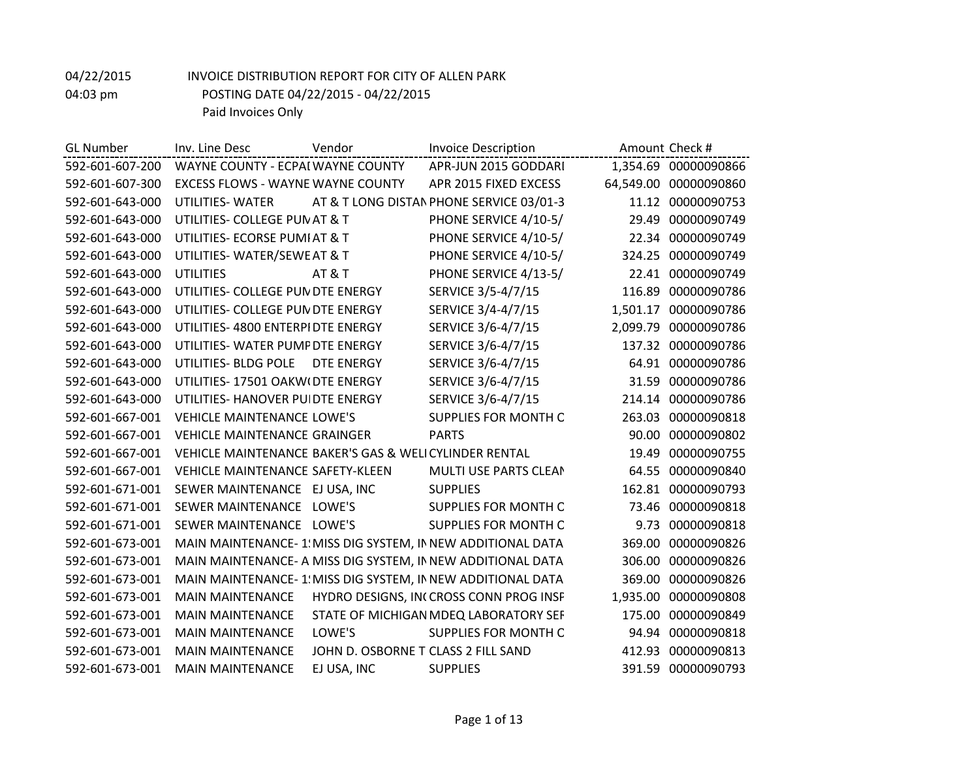| <b>GL Number</b> | Inv. Line Desc                                        | Vendor                              | <b>Invoice Description</b>                                  |          | Amount Check #        |
|------------------|-------------------------------------------------------|-------------------------------------|-------------------------------------------------------------|----------|-----------------------|
| 592-601-607-200  | WAYNE COUNTY - ECPAI WAYNE COUNTY                     |                                     | APR-JUN 2015 GODDARI                                        |          | 1,354.69 00000090866  |
| 592-601-607-300  | <b>EXCESS FLOWS - WAYNE WAYNE COUNTY</b>              |                                     | APR 2015 FIXED EXCESS                                       |          | 64,549.00 00000090860 |
| 592-601-643-000  | UTILITIES-WATER                                       |                                     | AT & T LONG DISTAN PHONE SERVICE 03/01-3                    | 11.12    | 00000090753           |
| 592-601-643-000  | UTILITIES- COLLEGE PUN AT & T                         |                                     | PHONE SERVICE 4/10-5/                                       | 29.49    | 00000090749           |
| 592-601-643-000  | UTILITIES- ECORSE PUMI AT & T                         |                                     | PHONE SERVICE 4/10-5/                                       |          | 22.34 00000090749     |
| 592-601-643-000  | UTILITIES- WATER/SEWE AT & T                          |                                     | PHONE SERVICE 4/10-5/                                       | 324.25   | 00000090749           |
| 592-601-643-000  | <b>UTILITIES</b>                                      | AT&T                                | PHONE SERVICE 4/13-5/                                       | 22.41    | 00000090749           |
| 592-601-643-000  | UTILITIES- COLLEGE PUN DTE ENERGY                     |                                     | SERVICE 3/5-4/7/15                                          | 116.89   | 00000090786           |
| 592-601-643-000  | UTILITIES- COLLEGE PUN DTE ENERGY                     |                                     | SERVICE 3/4-4/7/15                                          | 1,501.17 | 00000090786           |
| 592-601-643-000  | UTILITIES- 4800 ENTERPIDTE ENERGY                     |                                     | SERVICE 3/6-4/7/15                                          | 2,099.79 | 00000090786           |
| 592-601-643-000  | UTILITIES- WATER PUMF DTE ENERGY                      |                                     | SERVICE 3/6-4/7/15                                          | 137.32   | 00000090786           |
| 592-601-643-000  | UTILITIES- BLDG POLE                                  | DTE ENERGY                          | SERVICE 3/6-4/7/15                                          |          | 64.91 00000090786     |
| 592-601-643-000  | UTILITIES- 17501 OAKW(DTE ENERGY                      |                                     | SERVICE 3/6-4/7/15                                          | 31.59    | 00000090786           |
| 592-601-643-000  | UTILITIES- HANOVER PUIDTE ENERGY                      |                                     | SERVICE 3/6-4/7/15                                          | 214.14   | 00000090786           |
| 592-601-667-001  | <b>VEHICLE MAINTENANCE LOWE'S</b>                     |                                     | SUPPLIES FOR MONTH C                                        | 263.03   | 00000090818           |
| 592-601-667-001  | <b>VEHICLE MAINTENANCE GRAINGER</b>                   |                                     | <b>PARTS</b>                                                | 90.00    | 00000090802           |
| 592-601-667-001  | VEHICLE MAINTENANCE BAKER'S GAS & WELICYLINDER RENTAL |                                     |                                                             | 19.49    | 00000090755           |
| 592-601-667-001  | <b>VEHICLE MAINTENANCE SAFETY-KLEEN</b>               |                                     | MULTI USE PARTS CLEAN                                       | 64.55    | 00000090840           |
| 592-601-671-001  | SEWER MAINTENANCE EJ USA, INC                         |                                     | <b>SUPPLIES</b>                                             | 162.81   | 00000090793           |
| 592-601-671-001  | SEWER MAINTENANCE LOWE'S                              |                                     | <b>SUPPLIES FOR MONTH C</b>                                 | 73.46    | 00000090818           |
| 592-601-671-001  | SEWER MAINTENANCE LOWE'S                              |                                     | SUPPLIES FOR MONTH C                                        | 9.73     | 00000090818           |
| 592-601-673-001  |                                                       |                                     | MAIN MAINTENANCE- 1 MISS DIG SYSTEM, IN NEW ADDITIONAL DATA | 369.00   | 00000090826           |
| 592-601-673-001  |                                                       |                                     | MAIN MAINTENANCE- A MISS DIG SYSTEM, IN NEW ADDITIONAL DATA | 306.00   | 00000090826           |
| 592-601-673-001  |                                                       |                                     | MAIN MAINTENANCE-1: MISS DIG SYSTEM, IN NEW ADDITIONAL DATA | 369.00   | 00000090826           |
| 592-601-673-001  | <b>MAIN MAINTENANCE</b>                               |                                     | HYDRO DESIGNS, INCCROSS CONN PROG INSF                      | 1,935.00 | 00000090808           |
| 592-601-673-001  | <b>MAIN MAINTENANCE</b>                               |                                     | STATE OF MICHIGAN MDEQ LABORATORY SEF                       | 175.00   | 00000090849           |
| 592-601-673-001  | <b>MAIN MAINTENANCE</b>                               | LOWE'S                              | SUPPLIES FOR MONTH C                                        | 94.94    | 00000090818           |
| 592-601-673-001  | <b>MAIN MAINTENANCE</b>                               | JOHN D. OSBORNE T CLASS 2 FILL SAND |                                                             | 412.93   | 00000090813           |
| 592-601-673-001  | <b>MAIN MAINTENANCE</b>                               | EJ USA, INC                         | <b>SUPPLIES</b>                                             | 391.59   | 00000090793           |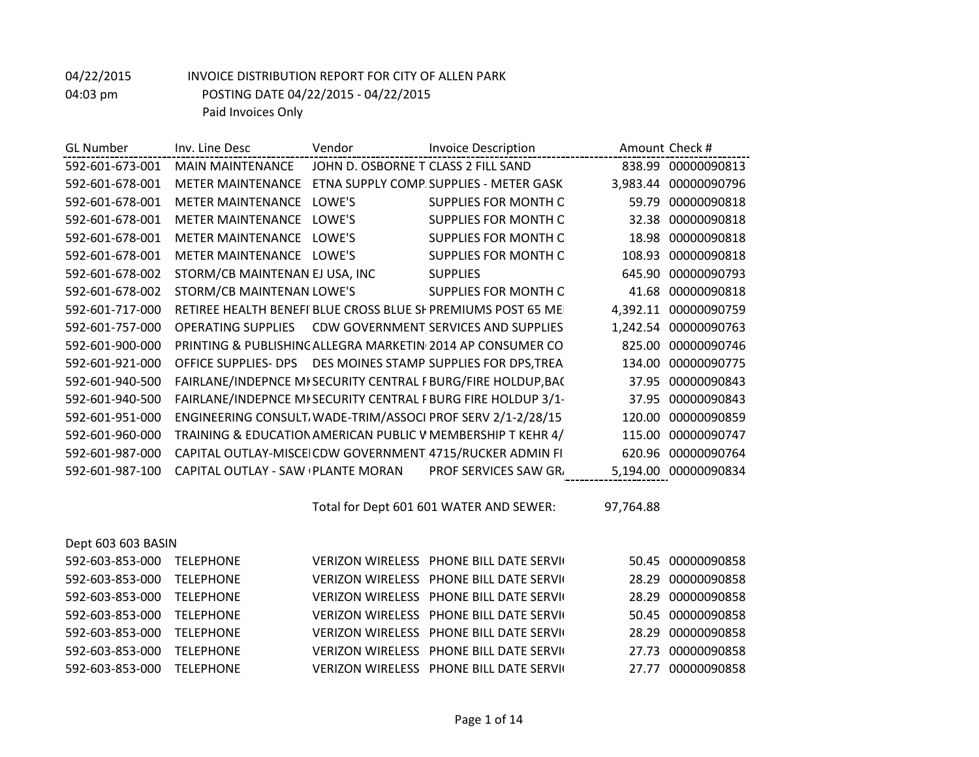| <b>GL</b> Number | Inv. Line Desc                    | Vendor                              | <b>Invoice Description</b>                                            |        | Amount Check #       |
|------------------|-----------------------------------|-------------------------------------|-----------------------------------------------------------------------|--------|----------------------|
| 592-601-673-001  | <b>MAIN MAINTENANCE</b>           | JOHN D. OSBORNE T CLASS 2 FILL SAND |                                                                       |        | 838.99 00000090813   |
| 592-601-678-001  | <b>METER MAINTENANCE</b>          |                                     | ETNA SUPPLY COMP. SUPPLIES - METER GASK                               |        | 3,983.44 00000090796 |
| 592-601-678-001  | <b>METER MAINTENANCE</b>          | LOWE'S                              | SUPPLIES FOR MONTH C                                                  | 59.79  | 00000090818          |
| 592-601-678-001  | <b>METER MAINTENANCE</b>          | LOWE'S                              | SUPPLIES FOR MONTH C                                                  |        | 32.38 00000090818    |
| 592-601-678-001  | <b>METER MAINTENANCE</b>          | LOWE'S                              | SUPPLIES FOR MONTH C                                                  |        | 18.98 00000090818    |
| 592-601-678-001  | <b>METER MAINTENANCE</b>          | LOWF'S                              | <b>SUPPLIES FOR MONTH C</b>                                           | 108.93 | 00000090818          |
| 592-601-678-002  | STORM/CB MAINTENAN EJ USA, INC    |                                     | <b>SUPPLIES</b>                                                       | 645.90 | 00000090793          |
| 592-601-678-002  | STORM/CB MAINTENAN LOWE'S         |                                     | SUPPLIES FOR MONTH C                                                  |        | 41.68 00000090818    |
| 592-601-717-000  |                                   |                                     | RETIREE HEALTH BENEFI BLUE CROSS BLUE SI PREMIUMS POST 65 ME          |        | 4,392.11 00000090759 |
| 592-601-757-000  | <b>OPERATING SUPPLIES</b>         |                                     | CDW GOVERNMENT SERVICES AND SUPPLIES                                  |        | 1,242.54 00000090763 |
| 592-601-900-000  |                                   |                                     | <b>PRINTING &amp; PUBLISHING ALLEGRA MARKETIN 2014 AP CONSUMER CO</b> | 825.00 | 00000090746          |
| 592-601-921-000  |                                   |                                     | OFFICE SUPPLIES- DPS  DES MOINES STAMP SUPPLIES FOR DPS, TREA         | 134.00 | 00000090775          |
| 592-601-940-500  |                                   |                                     | FAIRLANE/INDEPNCE MI SECURITY CENTRAL FBURG/FIRE HOLDUP, BAC          | 37.95  | 00000090843          |
| 592-601-940-500  |                                   |                                     | FAIRLANE/INDEPNCE MI SECURITY CENTRAL FBURG FIRE HOLDUP 3/1-          | 37.95  | 00000090843          |
| 592-601-951-000  |                                   |                                     | ENGINEERING CONSULT. WADE-TRIM/ASSOCI PROF SERV 2/1-2/28/15           | 120.00 | 00000090859          |
| 592-601-960-000  |                                   |                                     | TRAINING & EDUCATION AMERICAN PUBLIC V MEMBERSHIP T KEHR 4/           | 115.00 | 00000090747          |
| 592-601-987-000  |                                   |                                     | CAPITAL OUTLAY-MISCEICDW GOVERNMENT 4715/RUCKER ADMIN FI              | 620.96 | 00000090764          |
| 592-601-987-100  | CAPITAL OUTLAY - SAW PLANTE MORAN |                                     | <b>PROF SERVICES SAW GR.</b>                                          |        | 5,194.00 00000090834 |
|                  |                                   |                                     |                                                                       |        |                      |

Total for Dept 601 601 WATER AND SEWER: 97,764.88

| Dept 603 603 BASIN        |                  |                                                 |                   |
|---------------------------|------------------|-------------------------------------------------|-------------------|
| 592-603-853-000           | TELEPHONE        | VERIZON WIRELESS PHONE BILL DATE SERVIC         | 50.45 00000090858 |
| 592-603-853-000 TELEPHONE |                  | <b>VERIZON WIRELESS PHONE BILL DATE SERVICE</b> | 28.29 00000090858 |
| 592-603-853-000 TELEPHONE |                  | <b>VERIZON WIRELESS PHONE BILL DATE SERVICE</b> | 28.29 00000090858 |
| 592-603-853-000 TELEPHONE |                  | <b>VERIZON WIRELESS PHONE BILL DATE SERVICE</b> | 50.45 00000090858 |
| 592-603-853-000           | TFLFPHONF        | <b>VERIZON WIRELESS PHONE BILL DATE SERVICE</b> | 28.29 00000090858 |
| 592-603-853-000           | <b>TFLFPHONF</b> | <b>VERIZON WIRELESS PHONE BILL DATE SERVICE</b> | 27.73 00000090858 |
| 592-603-853-000           | TELEPHONE        | VERIZON WIRELESS PHONE BILL DATE SERVIC         | 27.77 00000090858 |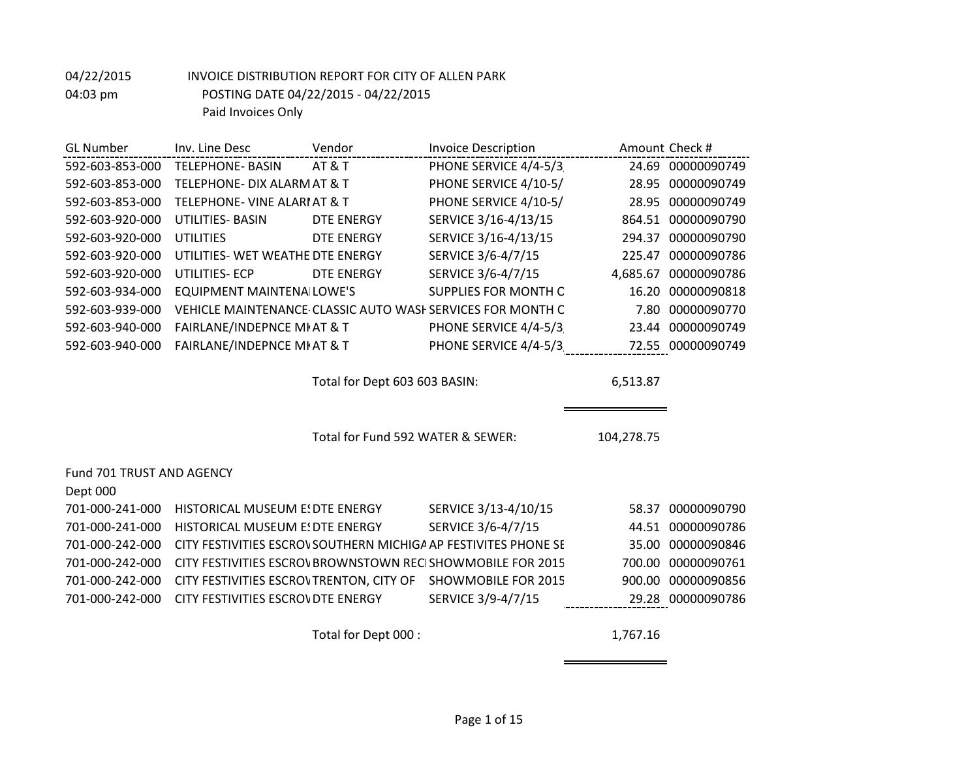| <b>GL Number</b>          | Inv. Line Desc                          | Vendor                            | <b>Invoice Description</b>                                      |            | Amount Check #    |
|---------------------------|-----------------------------------------|-----------------------------------|-----------------------------------------------------------------|------------|-------------------|
| 592-603-853-000           | <b>TELEPHONE- BASIN</b>                 | <b>AT &amp; T</b>                 | PHONE SERVICE 4/4-5/3                                           |            | 24.69 00000090749 |
| 592-603-853-000           | <b>TELEPHONE- DIX ALARM AT &amp; T</b>  |                                   | PHONE SERVICE 4/10-5/                                           |            | 28.95 00000090749 |
| 592-603-853-000           | <b>TELEPHONE- VINE ALARIAT &amp; T</b>  |                                   | PHONE SERVICE 4/10-5/                                           | 28.95      | 00000090749       |
| 592-603-920-000           | UTILITIES- BASIN                        | DTE ENERGY                        | SERVICE 3/16-4/13/15                                            | 864.51     | 00000090790       |
| 592-603-920-000           | <b>UTILITIES</b>                        | <b>DTE ENERGY</b>                 | SERVICE 3/16-4/13/15                                            | 294.37     | 00000090790       |
| 592-603-920-000           | UTILITIES- WET WEATHE DTE ENERGY        |                                   | SERVICE 3/6-4/7/15                                              | 225.47     | 00000090786       |
| 592-603-920-000           | <b>UTILITIES-ECP</b>                    | <b>DTE ENERGY</b>                 | SERVICE 3/6-4/7/15                                              | 4,685.67   | 00000090786       |
| 592-603-934-000           | <b>EQUIPMENT MAINTENA LOWE'S</b>        |                                   | <b>SUPPLIES FOR MONTH C</b>                                     | 16.20      | 00000090818       |
| 592-603-939-000           |                                         |                                   | VEHICLE MAINTENANCE CLASSIC AUTO WASH SERVICES FOR MONTH C      | 7.80       | 00000090770       |
| 592-603-940-000           | FAIRLANE/INDEPNCE MI AT & T             |                                   | PHONE SERVICE 4/4-5/3                                           | 23.44      | 00000090749       |
| 592-603-940-000           | FAIRLANE/INDEPNCE MI AT & T             |                                   | PHONE SERVICE 4/4-5/3                                           |            | 72.55 00000090749 |
|                           |                                         |                                   |                                                                 |            |                   |
|                           |                                         | Total for Dept 603 603 BASIN:     |                                                                 | 6,513.87   |                   |
|                           |                                         |                                   |                                                                 |            |                   |
|                           |                                         |                                   |                                                                 |            |                   |
|                           |                                         | Total for Fund 592 WATER & SEWER: |                                                                 | 104,278.75 |                   |
|                           |                                         |                                   |                                                                 |            |                   |
| Fund 701 TRUST AND AGENCY |                                         |                                   |                                                                 |            |                   |
| Dept 000                  |                                         |                                   |                                                                 |            |                   |
| 701-000-241-000           | HISTORICAL MUSEUM E! DTE ENERGY         |                                   | SERVICE 3/13-4/10/15                                            | 58.37      | 00000090790       |
| 701-000-241-000           | HISTORICAL MUSEUM E: DTE ENERGY         |                                   | SERVICE 3/6-4/7/15                                              | 44.51      | 00000090786       |
| 701-000-242-000           |                                         |                                   | CITY FESTIVITIES ESCROV SOUTHERN MICHIGA AP FESTIVITES PHONE SE | 35.00      | 00000090846       |
| 701-000-242-000           |                                         |                                   | CITY FESTIVITIES ESCROVBROWNSTOWN RECISHOWMOBILE FOR 2015       | 700.00     | 00000090761       |
| 701-000-242-000           | CITY FESTIVITIES ESCROVTRENTON, CITY OF |                                   | <b>SHOWMOBILE FOR 2015</b>                                      | 900.00     | 00000090856       |
| 701-000-242-000           | CITY FESTIVITIES ESCROVDTE ENERGY       |                                   | SERVICE 3/9-4/7/15                                              |            | 29.28 00000090786 |

Total for Dept 000 : 1,767.16